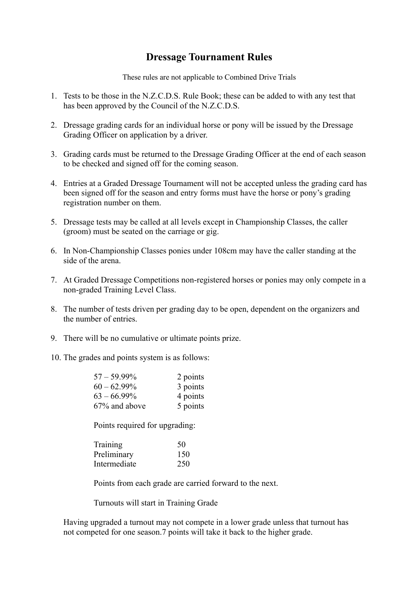## **Dressage Tournament Rules**

These rules are not applicable to Combined Drive Trials

- 1. Tests to be those in the N.Z.C.D.S. Rule Book; these can be added to with any test that has been approved by the Council of the N.Z.C.D.S.
- 2. Dressage grading cards for an individual horse or pony will be issued by the Dressage Grading Officer on application by a driver.
- 3. Grading cards must be returned to the Dressage Grading Officer at the end of each season to be checked and signed off for the coming season.
- 4. Entries at a Graded Dressage Tournament will not be accepted unless the grading card has been signed off for the season and entry forms must have the horse or pony's grading registration number on them.
- 5. Dressage tests may be called at all levels except in Championship Classes, the caller (groom) must be seated on the carriage or gig.
- 6. In Non-Championship Classes ponies under 108cm may have the caller standing at the side of the arena.
- 7. At Graded Dressage Competitions non-registered horses or ponies may only compete in a non-graded Training Level Class.
- 8. The number of tests driven per grading day to be open, dependent on the organizers and the number of entries.
- 9. There will be no cumulative or ultimate points prize.
- 10. The grades and points system is as follows:

| $57 - 59.99\%$ | 2 points |
|----------------|----------|
| $60 - 62.99\%$ | 3 points |
| $63 - 66.99\%$ | 4 points |
| 67% and above  | 5 points |

Points required for upgrading:

| Training     | 50  |
|--------------|-----|
| Preliminary  | 150 |
| Intermediate | 250 |

Points from each grade are carried forward to the next.

Turnouts will start in Training Grade

Having upgraded a turnout may not compete in a lower grade unless that turnout has not competed for one season.7 points will take it back to the higher grade.